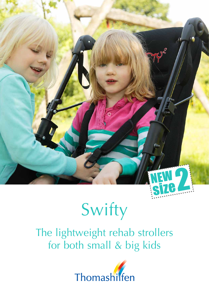

# Swifty

The lightweight rehab strollers for both small & big kids

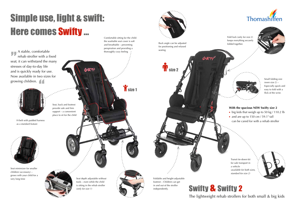

Back angle can be adjusted for positioning and relaxed seating **T** size 2

SANFTS



H-belt with padded harness as a standard feature



Foldable and height-adjustable footrest – Children can get in and out of the stroller independently.

Seat depth adjustable without tools – even while the child is sitting in the rehab stroller *(only for size 1)*



**M** size 1

## Simple use, light & swift: Here comes Swifty ... Comfortable sitting for the child:

A stable, comfortable rehab stroller with a fixed seat; it can withstand the many stresses of day-to-day life and is quickly ready for use. Now available in two sizes for growing children.



- big kids that weigh up to 50 kg / 110.2 lb
- and are up to 150 cm / 59.1" tall
- can be cared for with a rehab stroller



Seat, back and footrest provide safe and firm support – a convenient place to sit for the child

INIFTY

the washable seat cover is soft and breathable – preventing perspiration and providing a thoroughly cozy feeling



Seat minimizer for smaller children (accessory) – grows with your child for a very long time

#### **With the spacious NEW Swifty size 2**